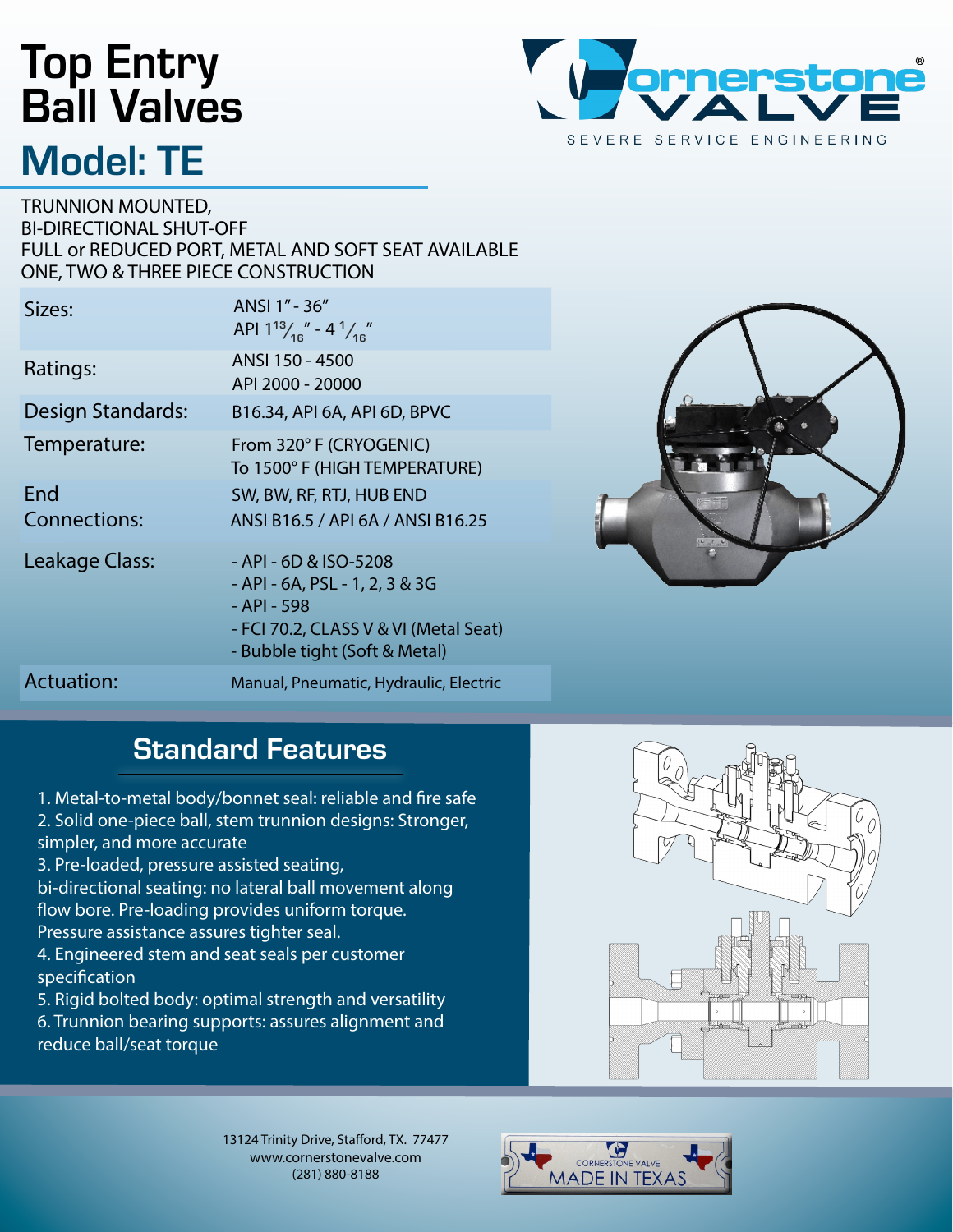## Top Entry Ball Valves Model: TE



TRUNNION MOUNTED, BI-DIRECTIONAL SHUT-OFF FULL or REDUCED PORT, METAL AND SOFT SEAT AVAILABLE ONE, TWO & THREE PIECE CONSTRUCTION

| Sizes:              | ANSI 1" - 36"<br>API $1^{13} / _{16}$ " - 4 $^{1} / _{16}$ "                                                                                     |
|---------------------|--------------------------------------------------------------------------------------------------------------------------------------------------|
| Ratings:            | ANSI 150 - 4500<br>API 2000 - 20000                                                                                                              |
| Design Standards:   | B16.34, API 6A, API 6D, BPVC                                                                                                                     |
| Temperature:        | From 320° F (CRYOGENIC)<br>To 1500° F (HIGH TEMPERATURE)                                                                                         |
| End                 | SW, BW, RF, RTJ, HUB END                                                                                                                         |
| <b>Connections:</b> | ANSI B16.5 / API 6A / ANSI B16.25                                                                                                                |
| Leakage Class:      | - API - 6D & ISO-5208<br>- API - 6A, PSL - 1, 2, 3 & 3G<br>- API - 598<br>- FCI 70.2, CLASS V & VI (Metal Seat)<br>- Bubble tight (Soft & Metal) |
| Actuation:          | Manual, Pneumatic, Hydraulic, Electric                                                                                                           |



#### **Standard Features**

1. Metal-to-metal body/bonnet seal: reliable and fire safe

2. Solid one-piece ball, stem trunnion designs: Stronger, simpler, and more accurate

3. Pre-loaded, pressure assisted seating,

bi-directional seating: no lateral ball movement along flow bore. Pre-loading provides uniform torque. Pressure assistance assures tighter seal.

4. Engineered stem and seat seals per customer specification

5. Rigid bolted body: optimal strength and versatility 6. Trunnion bearing supports: assures alignment and reduce ball/seat torque

13124 Trinity Drive, Stafford, TX. 77477 www.cornerstonevalve.com (281) 880-8188